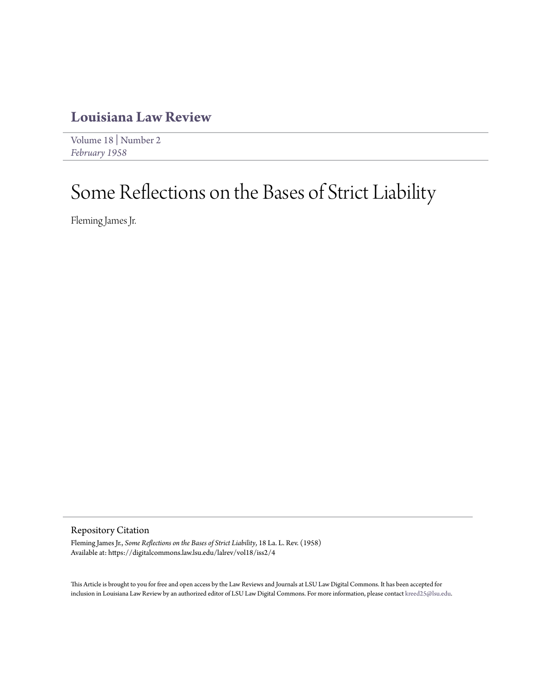### **[Louisiana Law Review](https://digitalcommons.law.lsu.edu/lalrev)**

[Volume 18](https://digitalcommons.law.lsu.edu/lalrev/vol18) | [Number 2](https://digitalcommons.law.lsu.edu/lalrev/vol18/iss2) *[February 1958](https://digitalcommons.law.lsu.edu/lalrev/vol18/iss2)*

# Some Reflections on the Bases of Strict Liability

Fleming James Jr.

Repository Citation

Fleming James Jr., *Some Reflections on the Bases of Strict Liability*, 18 La. L. Rev. (1958) Available at: https://digitalcommons.law.lsu.edu/lalrev/vol18/iss2/4

This Article is brought to you for free and open access by the Law Reviews and Journals at LSU Law Digital Commons. It has been accepted for inclusion in Louisiana Law Review by an authorized editor of LSU Law Digital Commons. For more information, please contact [kreed25@lsu.edu](mailto:kreed25@lsu.edu).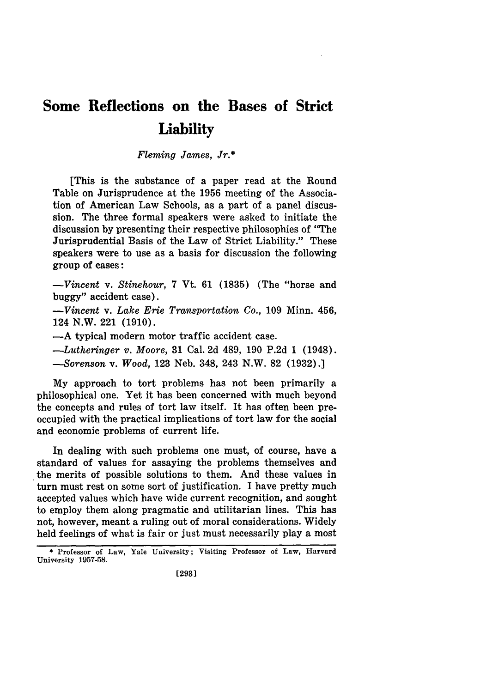## **Some Reflections on the Bases of Strict Liability**

*Fleming James, Jr.\**

[This is the substance of a paper read at the Round Table on Jurisprudence at the 1956 meeting of the Association of American Law Schools, as a part of a panel discussion. The three formal speakers were asked to initiate the discussion by presenting their respective philosophies of "The Jurisprudential Basis of the Law of Strict Liability." These speakers were to use as a basis for discussion the following group of cases:

*-Vincent* v. *Stinehour,* 7 Vt. 61 (1835) (The "horse and buggy" accident case).

*-Vincent* v. *Lake Erie Transportation Co.,* **109** Minn. 456, 124 N.W. 221 (1910).

-A typical modern motor traffic accident case.

*-Lutheringer v. Moore,* 31 Cal. 2d 489, 190 P.2d 1 (1948). *-Sorenson* v. *Wood,* 123 Neb. 348, 243 N.W. 82 (1932).]

My approach to tort problems has not been primarily a philosophical one. Yet it has been concerned with much beyond the concepts and rules of tort law itself. It has often been preoccupied with the practical implications of tort law for the social and economic problems of current life.

In dealing with such problems one must, of course, have a standard of values for assaying the problems themselves and the merits of possible solutions to them. And these values in turn must rest on some sort of justification. I have pretty much accepted values which have wide current recognition, and sought to employ them along pragmatic and utilitarian lines. This has not, however, meant a ruling out of moral considerations. Widely held feelings of what is fair or just must necessarily play a most

**<sup>\*</sup>** Professor of Law, Yale University; Visiting Professor of Law, Harvard University **1957-58.**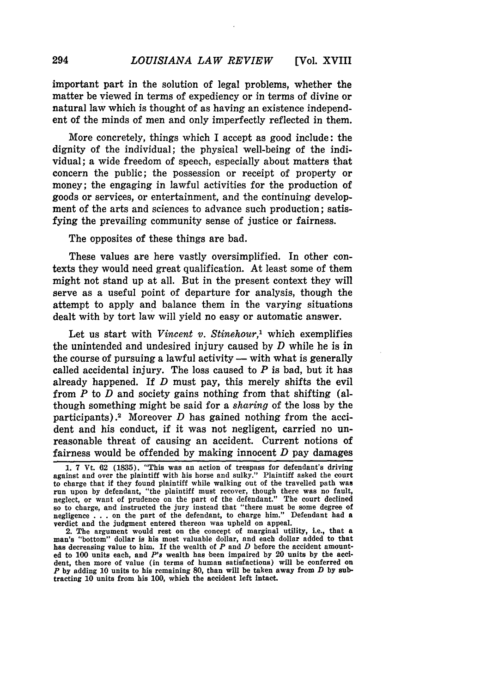important part in the solution of legal problems, whether the matter be viewed in terms of expediency or in terms of divine or natural law which is thought of as having an existence independent of the minds of men and only imperfectly reflected in them.

More concretely, things which I accept as good include: the dignity of the individual; the physical well-being of the individual; a wide freedom of speech, especially about matters that concern the public; the possession or receipt of property or money; the engaging in lawful activities for the production of goods or services, or entertainment, and the continuing development of the arts and sciences to advance such production; satisfying the prevailing community sense of justice or fairness.

The opposites of these things are bad.

These values are here vastly oversimplified. In other contexts they would need great qualification. At least some of them might not stand up at all. But in the present context they will serve as a useful point of departure for analysis, though the attempt to apply and balance them in the varying situations dealt with **by** tort law will yield no easy or automatic answer.

Let us start with *Vincent v. Stinehour,'* which exemplifies the unintended and undesired injury caused by *D* while he is in the course of pursuing a lawful activity  $-$  with what is generally called accidental injury. The loss caused to  $P$  is bad, but it has already happened. If *D* must pay, this merely shifts the evil from *P* to *D* and society gains nothing from that shifting (although something might be said for a *sharing* of the loss by the participants) .2 Moreover *D* has gained nothing from the accident and his conduct, if it was not negligent, carried no unreasonable threat of causing an accident. Current notions of fairness would be offended by making innocent *D* pay damages

**<sup>1.</sup>** 7 Vt. 62 **(1835).** "This was an action of trespass for defendant's driving against and over the plaintiff with his horse and sulky." Plaintiff asked the court to charge that if they found plaintiff while walking out of the travelled path was run upon by defendant, "the plaintiff must recover, though there was no fault, neglect, or want of prudence on the part of the defendant." The court declined so to charge, and instructed the jury instead that "there must be some degree of negligence . . . on the part of the defendant, to charge him." Defendant had a verdict and the judgment entered thereon was upheld on appeal.

<sup>2.</sup> The argument would rest on the concept of marginal utility, i.e., that a man's "bottom" dollar is his most valuable dollar, and each dollar added to that has decreasing value to him. If the wealth of *P* and *D* before the accident amounted to 100 units each, and *P'a* wealth has 'been impaired by 20 units by the accident, then more of value (in terms of human satisfactions) will be conferred on *P* by adding 10 units to his remaining 80, than will be taken away from *D* **by sub**tracting **10** units from his 100, which the accident left intact.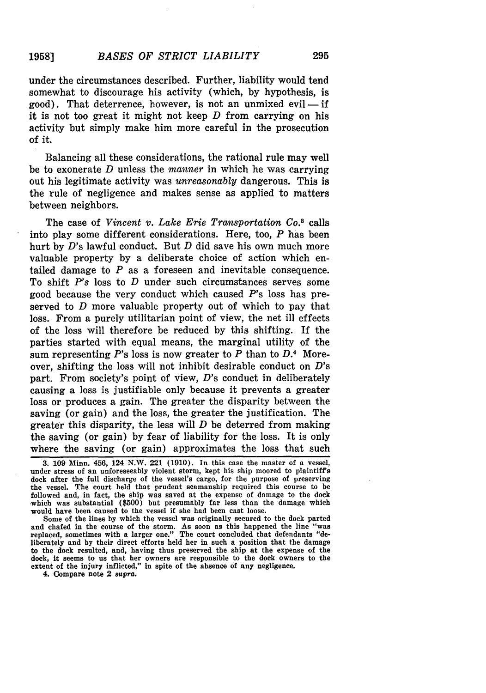### *BASES OF STRICT LIABILITY* **1958]**

under the circumstances described. Further, liability would tend somewhat to discourage his activity (which, **by** hypothesis, is good). That deterrence, however, is not an unmixed evil — if it is not too great it might not keep *D* from carrying on his activity but simply make him more careful in the prosecution **of** it.

Balancing all these considerations, the rational rule may well be to exonerate *D* unless the *manner* in which he was carrying out his legitimate activity was *unreasonably* dangerous. This is the rule of negligence and makes sense as applied to matters between neighbors.

The case of *Vincent v. Lake Erie Transportation Co.*<sup>3</sup> calls into play some different considerations. Here, too, *P* has been hurt by D's lawful conduct. But *D* did save his own much more valuable property by a deliberate choice of action which entailed damage to *P* as a foreseen and inevitable consequence. To shift *P's* loss to *D* under such circumstances serves some good because the very conduct which caused P's loss has preserved to *D* more valuable property out of which to pay that loss. From a purely utilitarian point of view, the net ill effects of the loss will therefore be reduced by this shifting. If the parties started with equal means, the marginal utility of the sum representing *P's* loss is now greater to *P* than to *D.4* Moreover, shifting the loss will not inhibit desirable conduct on  $D$ 's part. From society's point of view, D's conduct in deliberately causing a loss is justifiable only because it prevents a greater loss or produces a gain. The greater the disparity between the saving (or gain) and the loss, the greater the justification. The greater this disparity, the less will *D* be deterred from making the saving (or gain) by fear of liability for the loss. It is only where the saving (or gain) approximates the loss that such

Some of the lines by which the vessel was originally secured to the dock parted and chafed in the course of the storm. As soon as this happened the line "was replaced, sometimes with a larger one." The court concluded that defendants "deliberately and by their direct efforts held her in such a position that the damage to the dock resulted, and, having thus preserved the ship at the expense of the dock, it seems to us that her owners are responsible to the dock owners to the extent of the injury inflicted," in spite of the absence of any negligence.

4. Compare note 2 *supra.*

**<sup>3. 109</sup>** Minn. 456, 124 N.W. 221 **(1910).** In this case the master of a vessel, under stress of an unforeseeably violent storm, kept his ship moored to plaintiff's dock after the full discharge of the vessel's cargo, for the purpose of preserving the vessel. The court held that prudent seamanship required this course to be followed and, in fact, the ship was saved at the expense of damage to the dock which was substantial (\$500) but presumably far less than the damage which would have been caused to the vessel if she had been cast loose.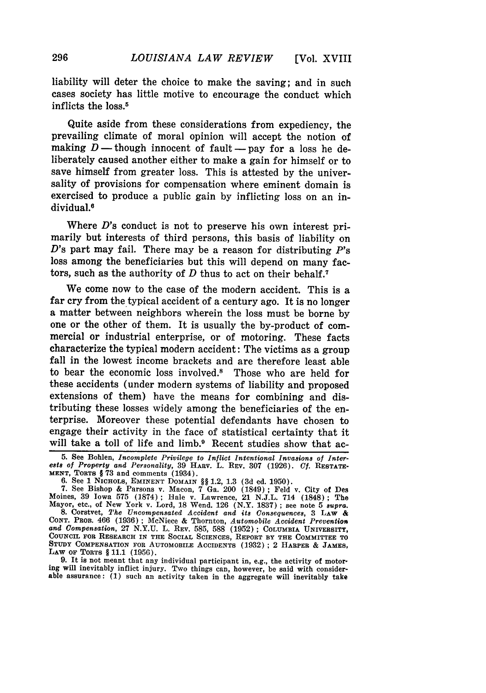liability will deter the choice to make the saving; and in such cases society has little motive to encourage the conduct which inflicts the loss.5

Quite aside from these considerations from expediency, the prevailing climate of moral opinion will accept the notion of making  $D$ — though innocent of fault- pay for a loss he deliberately caused another either to make a gain for himself or to save himself from greater loss. This is attested by the universality of provisions for compensation where eminent domain is exercised to produce a public gain by inflicting loss on an individual.<sup>6</sup>

Where  $D$ 's conduct is not to preserve his own interest primarily but interests of third persons, this basis of liability on *D's* part may fail. There may be a reason for distributing *P's* loss among the beneficiaries but this will depend on many factors, such as the authority of *D* thus to act on their behalf.7

We come now to the case of the modern accident. This is a far cry from the typical accident of a century ago. It is no longer a matter between neighbors wherein the loss must be borne by one or the other of them. It is usually the by-product of commercial or industrial enterprise, or of motoring. These facts characterize the typical modern accident: The victims as a group fall in the lowest income brackets and are therefore least able to bear the economic loss involved.8 Those who are held for these accidents (under modern systems of liability and proposed extensions of them) have the means for combining and distributing these losses widely among the beneficiaries of the enterprise. Moreover these potential defendants have chosen to engage their activity in the face of statistical certainty that it will take a toll of life and limb.<sup>9</sup> Recent studies show that ac-

**9.** It is not meant that any individual participant in, e.g., the activity of motoring will inevitably inflict injury. Two things **can,** however, be said with considerable assurance: **(1)** such an activity taken in the aggregate will inevitably take

<sup>5.</sup> See Bohlen, *Incomplete Privilege to Inflict Intentional Invasions of Inter- ests of Property and Personality,* 39 HxAv. L. REV. 307 (1926). *Cf.* RESTATE-**MENT,** TORTS § 73 and comments (1934).

<sup>6.</sup> See 1 NICHOLS, **EMINENT** DOMAIN §§ 1.2, 1.3 **(3d** ed. 1950). 7. See Bishop & Parsons v. Macon, 7 Ga. 200 (1849) ; Feld v. City of Des Moines, 39 Iowa 575 (1874); Hale v. Lawrence, 21 N.J.L. 714 (1848); The Mayor, etc., of New York v. Lord, 18 Wend. 126 (N.Y. 1837); see note 5 supra.<br>8. Corstvet, The Uncompensated Accident and its Consequences, 3 LAW &

<sup>8.</sup> Corstvet, The Uncompensated Accident and its Consequences, 3 LAW & CONT. PROB. 466 (1936); McNiece & Thornton, *Automobile Accident Prevention and Compensation,* 27 N.Y.U. L. REV. 585, 588 (1952); COLUMBIA UNIVERSITY, COUNCIL **FOR** RESEARCH **IN THE SOCIAL** SCIENCES, REPORT **BY THE COMMITTEE TO STUDY COMPENSATION FOR AUTOMOBILE** ACCIDENTS **(1932) ;** 2 HARPER & **JAMES, LAW OF TORTS** § **11.1 (1956).**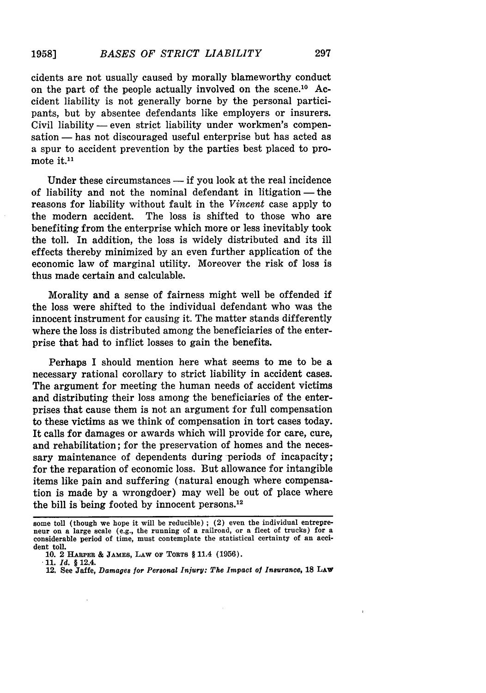297

cidents are not usually caused by morally blameworthy conduct on the part of the people actually involved on the scene.<sup>10</sup> Accident liability is not generally borne by the personal participants, but by absentee defendants like employers or insurers. Civil liability — even strict liability under workmen's compensation - has not discouraged useful enterprise but has acted as a spur to accident prevention by the parties best placed to promote it.<sup>11</sup>

Under these circumstances  $-$  if you look at the real incidence of liability and not the nominal defendant in litigation  $-$  the reasons for liability without fault in the *Vincent* case apply to the modern accident. The loss is shifted to those who are benefiting from the enterprise which more or less inevitably took the toll. In addition, the loss is widely distributed and its ill effects thereby minimized by an even further application of the economic law of marginal utility. Moreover the risk of loss is thus made certain and calculable.

Morality and a sense of fairness might well be offended if the loss were shifted to the individual defendant who was the innocent instrument **for** causing it. The matter stands differently where the loss is distributed among the beneficiaries of the enterprise that had to inflict losses to gain the benefits.

Perhaps I should mention here what seems to me to be a necessary rational corollary to strict liability in accident cases. The argument for meeting the human needs of accident victims and distributing their loss among the beneficiaries of the enterprises that cause them is not an argument for full compensation to these victims as we think of compensation in tort cases today. It calls for damages or awards which will provide for care, cure, and rehabilitation; for the preservation of homes and the necessary maintenance of dependents during periods of incapacity; for the reparation of economic loss. But allowance for intangible items like pain and suffering (natural enough where compensation is made **by** a wrongdoer) may well be out of place where the bill is being footed **by** innocent persons. <sup>12</sup>

some toll (though we hope it will be reducible) **;** (2) even the individual entrepreneur on a large scale (e.g., the running of a railroad, or a fleet of trucks) for a considerable period of time, must contemplate the statistical certainty of an accident toll.

**<sup>10.</sup>** 2 **HARPER & JAMES, LAw OF TORTS** § 11.4 **(1956).**

**<sup>11.</sup>** *Id. §* 12.4.

<sup>12.</sup> See **Jaffe,** *Damages for Personal Injury: The Impact of Insurance,* **18 LAW**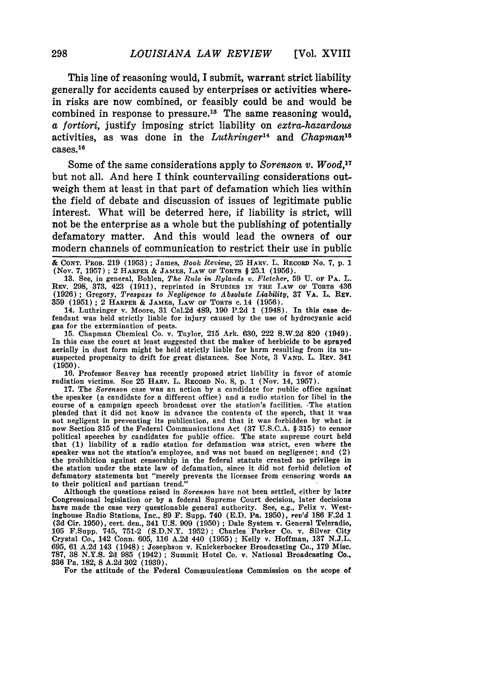This line of reasoning would, I submit, warrant strict liability generally for accidents caused **by** enterprises or activities wherein risks are now combined, or feasibly could be and would be combined in response to pressure.<sup>18</sup> The same reasoning would, *a fortiori,* justify imposing strict liability on *extra-hazardous* activities, as was done in the *Luthringer14* and *Chapman"*  $cases. <sup>16</sup>$ 

Some of the same considerations apply to *Sorenson v. Wood, <sup>17</sup>* but not all. And here I think countervailing considerations outweigh them at least in that part of defamation which lies within the field of debate and discussion of issues of legitimate public interest. What will be deterred here, if liability is strict, will not be the enterprise as a whole but the publishing of potentially defamatory matter. And this would lead the owners of our modern channels of communication to restrict their use in public

& **CONT.** PROB. **219 (1953) ;** James, Book *Review,* **25 HARV.** L. **RECORD** No. **7, p.** 1 (Nov. **7,** 1957) **;** 2 **HARPER** & **JAMES, LAW OF TORTS** § **25.1 (1956).**

**13.** See, in general, Bohlen, *The Rule in Rylands v. Fletcher,* 59 U. **OF** PA. L. REV. 298, 373, 423 (1911), reprinted in STUDIES **IN THE LAW OF TORTS** 436 (1926); Gregory, *Trespass to Negligence to Absolute Liability,* **37** VA. **L.** REv. **359 (1951)** ; 2 **HARPER** & **JAMES, LAW OF TORTS** c. 14 **(1956).**

14. Luthringer v. Moore, **31** Cal.2d 489, **190 P.2d 1** (1948). In this case defendant was held strictly liable for injury caused **by** the use of hydrocyanic acid gas for the extermination of pests.

**15.** Chapman Chemical Co. v. Taylor, **215** Ark. **630,** 222 **S.W.2d 820** (1949). In this case the court at least suggested that the maker of herbicide to be sprayed aerially in dust form might be held strictly liable for harm resulting from its unsuspected propensity to drift for great distances. See Note, **3 VAND.** L. **REV.** 341 (1950).

16. Professor Seavey has recently proposed strict liability in favor of atomic radiation victims. See 25 HARV. L. RECORD No. 8, p. 1 (Nov. 14, 1957).

17. The *Sorenson* case was an action by a candidate for public office against the speaker (a candidate for a different office) and a radio station for libel in the course of a campaign speech broadcast over the station's facilities. The station pleaded that it did not know in advance the contents of the speech, that it was not negligent in preventing its publication, and that it was forbidden by what is now Section 315 of the Federal Communications Act (37 U.S.C.A. § 315) to censor political speeches by candidates for public office. The state supreme court held that (1) liability of a radio station for defamation was strict, even where the speaker was not the station's employee, and was not based on negligence; and (2) the prohibition against censorship in the federal statute created no privilege in the station under the state law of defamation, since it did not forbid deletion of defamatory statements but "merely prevents the licensee from censoring words as to their political and partisan trend."

Although the questions raised in *Sorenson* have not been settled, either by later Congressional legislation or by a federal Supreme Court decision, later decisions have made the case very questionable general authority. See, e.g., Felix v. Westinghouse Radio Stations, Inc., 89 F. Supp. 740 (E.D. Pa. 1950), *rev'd* 186 F.2d *1* (3d Cir. 1950), cert. den., 341 U.S. 909 (1950); Dale System v. General Teleradio,<br>105 F.Supp. 745, 751-2 (S.D.N.Y. 1952); Charles Parker Co. v. Silver City<br>Crystal Co., 142 Conn. 605, 116 A.2d 440 (1955); Kelly v. Hoffman 695, 61 A.2d 143 (1948) ; Josephson v. Knickerbocker Broadcasting Co., 179 Misc. 787, 38 N.Y.S. 2d 985 (1942) **;** Summit Hotel Co. v. National Broadcasting Co., 336 Pa. 182, **8** A.2d 302 (1939).

For the attitude of the Federal Communications Commission on the scope of